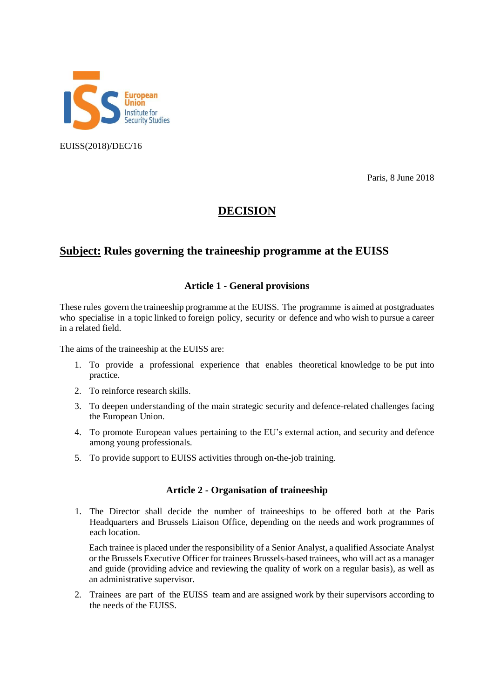

EUISS(2018)/DEC/16

Paris, 8 June 2018

# **DECISION**

# **Subject: Rules governing the traineeship programme at the EUISS**

# **Article 1 - General provisions**

These rules govern the traineeship programme at the EUISS. The programme is aimed at postgraduates who specialise in a topic linked to foreign policy, security or defence and who wish to pursue a career in a related field.

The aims of the traineeship at the EUISS are:

- 1. To provide a professional experience that enables theoretical knowledge to be put into practice.
- 2. To reinforce research skills.
- 3. To deepen understanding of the main strategic security and defence-related challenges facing the European Union.
- 4. To promote European values pertaining to the EU's external action, and security and defence among young professionals.
- 5. To provide support to EUISS activities through on-the-job training.

# **Article 2 - Organisation of traineeship**

1. The Director shall decide the number of traineeships to be offered both at the Paris Headquarters and Brussels Liaison Office, depending on the needs and work programmes of each location.

Each trainee is placed under the responsibility of a Senior Analyst, a qualified Associate Analyst or the Brussels Executive Officer for trainees Brussels-based trainees, who will act as a manager and guide (providing advice and reviewing the quality of work on a regular basis), as well as an administrative supervisor.

2. Trainees are part of the EUISS team and are assigned work by their supervisors according to the needs of the EUISS.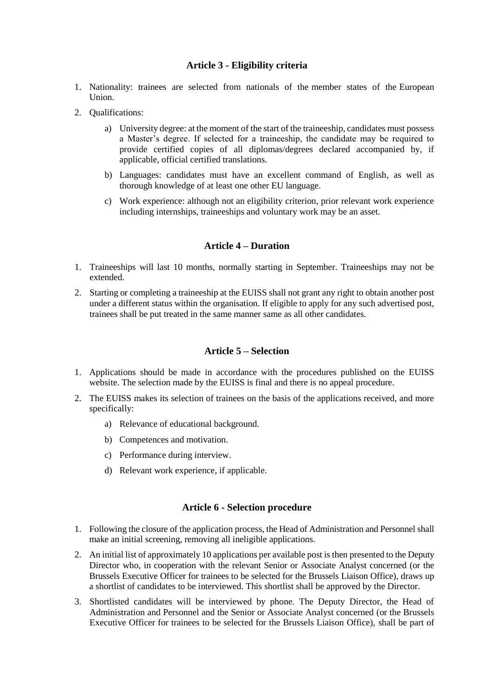## **Article 3 - Eligibility criteria**

- 1. Nationality: trainees are selected from nationals of the member states of the European Union.
- 2. Qualifications:
	- a) University degree: at the moment of the start of the traineeship, candidates must possess a Master's degree. If selected for a traineeship, the candidate may be required to provide certified copies of all diplomas/degrees declared accompanied by, if applicable, official certified translations.
	- b) Languages: candidates must have an excellent command of English, as well as thorough knowledge of at least one other EU language.
	- c) Work experience: although not an eligibility criterion, prior relevant work experience including internships, traineeships and voluntary work may be an asset.

## **Article 4 – Duration**

- 1. Traineeships will last 10 months, normally starting in September. Traineeships may not be extended.
- 2. Starting or completing a traineeship at the EUISS shall not grant any right to obtain another post under a different status within the organisation. If eligible to apply for any such advertised post, trainees shall be put treated in the same manner same as all other candidates.

## **Article 5 – Selection**

- 1. Applications should be made in accordance with the procedures published on the EUISS website. The selection made by the EUISS is final and there is no appeal procedure.
- 2. The EUISS makes its selection of trainees on the basis of the applications received, and more specifically:
	- a) Relevance of educational background.
	- b) Competences and motivation.
	- c) Performance during interview.
	- d) Relevant work experience, if applicable.

#### **Article 6 - Selection procedure**

- 1. Following the closure of the application process, the Head of Administration and Personnel shall make an initial screening, removing all ineligible applications.
- 2. An initial list of approximately 10 applications per available post is then presented to the Deputy Director who, in cooperation with the relevant Senior or Associate Analyst concerned (or the Brussels Executive Officer for trainees to be selected for the Brussels Liaison Office), draws up a shortlist of candidates to be interviewed. This shortlist shall be approved by the Director.
- 3. Shortlisted candidates will be interviewed by phone. The Deputy Director, the Head of Administration and Personnel and the Senior or Associate Analyst concerned (or the Brussels Executive Officer for trainees to be selected for the Brussels Liaison Office), shall be part of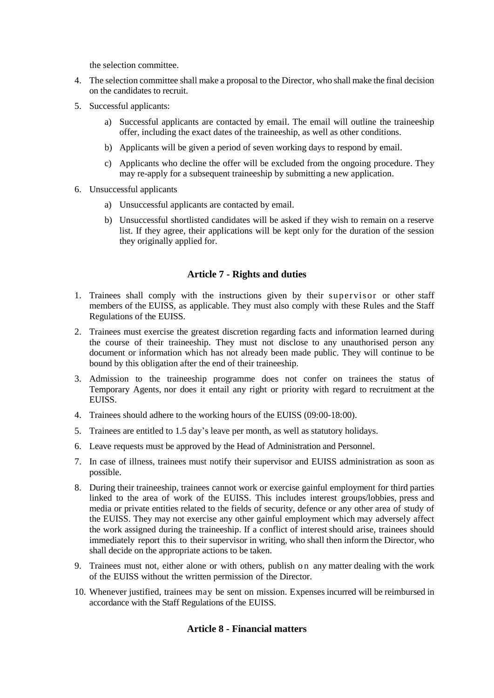the selection committee.

- 4. The selection committee shall make a proposal to the Director, who shall make the final decision on the candidates to recruit.
- 5. Successful applicants:
	- a) Successful applicants are contacted by email. The email will outline the traineeship offer, including the exact dates of the traineeship, as well as other conditions.
	- b) Applicants will be given a period of seven working days to respond by email.
	- c) Applicants who decline the offer will be excluded from the ongoing procedure. They may re-apply for a subsequent traineeship by submitting a new application.
- 6. Unsuccessful applicants
	- a) Unsuccessful applicants are contacted by email.
	- b) Unsuccessful shortlisted candidates will be asked if they wish to remain on a reserve list. If they agree, their applications will be kept only for the duration of the session they originally applied for.

# **Article 7 - Rights and duties**

- 1. Trainees shall comply with the instructions given by their supervisor or other staff members of the EUISS, as applicable. They must also comply with these Rules and the Staff Regulations of the EUISS.
- 2. Trainees must exercise the greatest discretion regarding facts and information learned during the course of their traineeship. They must not disclose to any unauthorised person any document or information which has not already been made public. They will continue to be bound by this obligation after the end of their traineeship.
- 3. Admission to the traineeship programme does not confer on trainees the status of Temporary Agents, nor does it entail any right or priority with regard to recruitment at the EUISS.
- 4. Trainees should adhere to the working hours of the EUISS (09:00-18:00).
- 5. Trainees are entitled to 1.5 day's leave per month, as well as statutory holidays.
- 6. Leave requests must be approved by the Head of Administration and Personnel.
- 7. In case of illness, trainees must notify their supervisor and EUISS administration as soon as possible.
- 8. During their traineeship, trainees cannot work or exercise gainful employment for third parties linked to the area of work of the EUISS. This includes interest groups/lobbies, press and media or private entities related to the fields of security, defence or any other area of study of the EUISS. They may not exercise any other gainful employment which may adversely affect the work assigned during the traineeship. If a conflict of interest should arise, trainees should immediately report this to their supervisor in writing, who shall then inform the Director, who shall decide on the appropriate actions to be taken.
- 9. Trainees must not, either alone or with others, publish on any matter dealing with the work of the EUISS without the written permission of the Director.
- 10. Whenever justified, trainees may be sent on mission. Expenses incurred will be reimbursed in accordance with the Staff Regulations of the EUISS.

# **Article 8 - Financial matters**